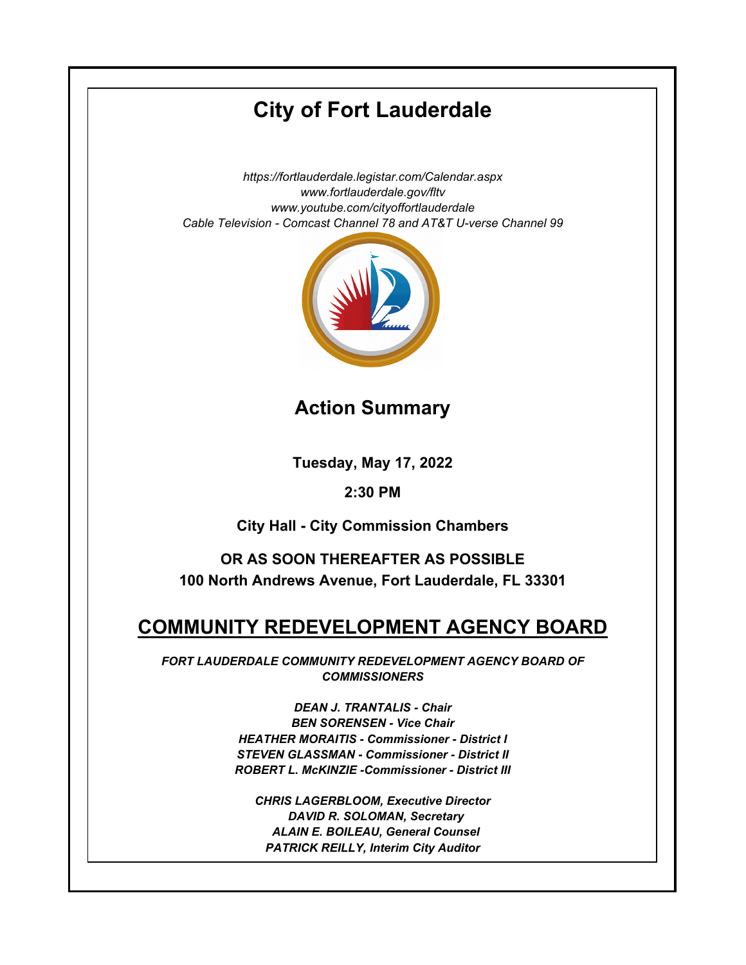# **City of Fort Lauderdale**

*https://fortlauderdale.legistar.com/Calendar.aspx www.fortlauderdale.gov/fltv www.youtube.com/cityoffortlauderdale Cable Television - Comcast Channel 78 and AT&T U-verse Channel 99*



**Action Summary**

**Tuesday, May 17, 2022**

## **2:30 PM**

**City Hall - City Commission Chambers**

**OR AS SOON THEREAFTER AS POSSIBLE 100 North Andrews Avenue, Fort Lauderdale, FL 33301**

# **COMMUNITY REDEVELOPMENT AGENCY BOARD**

*FORT LAUDERDALE COMMUNITY REDEVELOPMENT AGENCY BOARD OF COMMISSIONERS*

> *DEAN J. TRANTALIS - Chair BEN SORENSEN - Vice Chair HEATHER MORAITIS - Commissioner - District I STEVEN GLASSMAN - Commissioner - District II ROBERT L. McKINZIE -Commissioner - District III*

*CHRIS LAGERBLOOM, Executive Director DAVID R. SOLOMAN, Secretary ALAIN E. BOILEAU, General Counsel PATRICK REILLY, Interim City Auditor*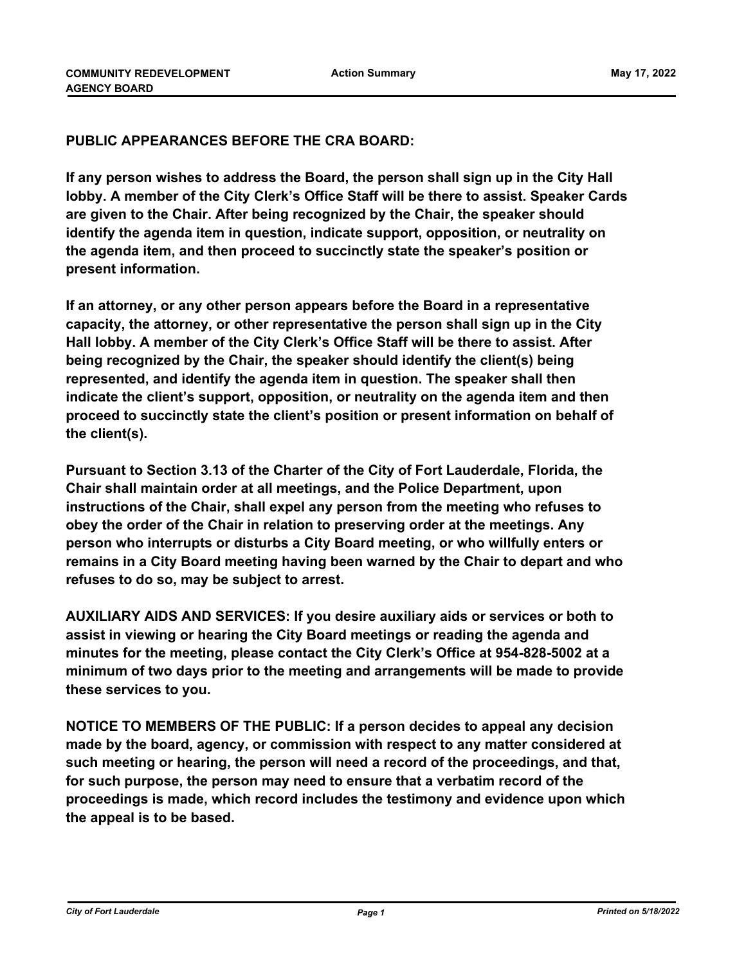### **PUBLIC APPEARANCES BEFORE THE CRA BOARD:**

**If any person wishes to address the Board, the person shall sign up in the City Hall lobby. A member of the City Clerk's Office Staff will be there to assist. Speaker Cards are given to the Chair. After being recognized by the Chair, the speaker should identify the agenda item in question, indicate support, opposition, or neutrality on the agenda item, and then proceed to succinctly state the speaker's position or present information.**

**If an attorney, or any other person appears before the Board in a representative capacity, the attorney, or other representative the person shall sign up in the City Hall lobby. A member of the City Clerk's Office Staff will be there to assist. After being recognized by the Chair, the speaker should identify the client(s) being represented, and identify the agenda item in question. The speaker shall then indicate the client's support, opposition, or neutrality on the agenda item and then proceed to succinctly state the client's position or present information on behalf of the client(s).**

**Pursuant to Section 3.13 of the Charter of the City of Fort Lauderdale, Florida, the Chair shall maintain order at all meetings, and the Police Department, upon instructions of the Chair, shall expel any person from the meeting who refuses to obey the order of the Chair in relation to preserving order at the meetings. Any person who interrupts or disturbs a City Board meeting, or who willfully enters or remains in a City Board meeting having been warned by the Chair to depart and who refuses to do so, may be subject to arrest.**

**AUXILIARY AIDS AND SERVICES: If you desire auxiliary aids or services or both to assist in viewing or hearing the City Board meetings or reading the agenda and minutes for the meeting, please contact the City Clerk's Office at 954-828-5002 at a minimum of two days prior to the meeting and arrangements will be made to provide these services to you.**

**NOTICE TO MEMBERS OF THE PUBLIC: If a person decides to appeal any decision made by the board, agency, or commission with respect to any matter considered at such meeting or hearing, the person will need a record of the proceedings, and that, for such purpose, the person may need to ensure that a verbatim record of the proceedings is made, which record includes the testimony and evidence upon which the appeal is to be based.**